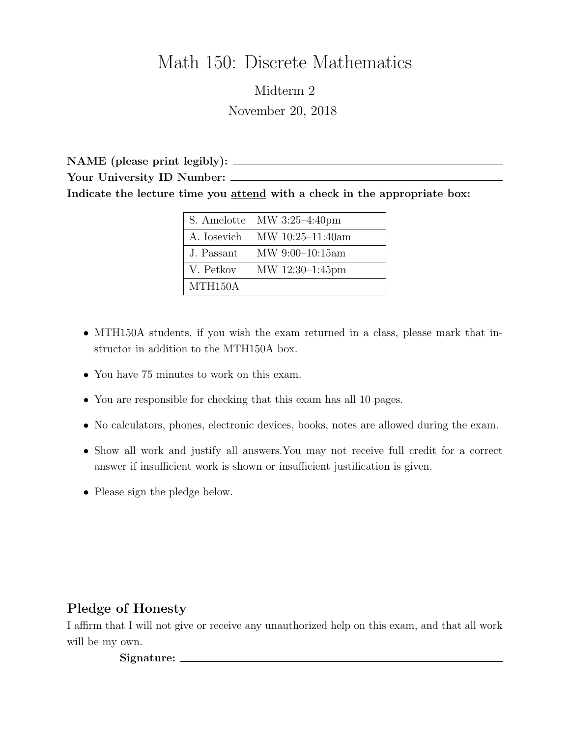# Math 150: Discrete Mathematics

Midterm 2 November 20, 2018

NAME (please print legibly): Your University ID Number: \_\_\_\_\_\_\_ Indicate the lecture time you attend with a check in the appropriate box:

|                      | $\vert$ S. Amelotte MW 3:25-4:40pm |  |
|----------------------|------------------------------------|--|
|                      | A. Iosevich MW $10:25-11:40$ am    |  |
| J. Passant           | $MW\ 9:00-10:15am$                 |  |
| V. Petkov            | MW 12:30-1:45pm                    |  |
| MTH <sub>150</sub> A |                                    |  |

- MTH150A students, if you wish the exam returned in a class, please mark that instructor in addition to the MTH150A box.
- You have 75 minutes to work on this exam.
- You are responsible for checking that this exam has all 10 pages.
- No calculators, phones, electronic devices, books, notes are allowed during the exam.
- Show all work and justify all answers.You may not receive full credit for a correct answer if insufficient work is shown or insufficient justification is given.
- Please sign the pledge below.

## Pledge of Honesty

I affirm that I will not give or receive any unauthorized help on this exam, and that all work will be my own.

Signature: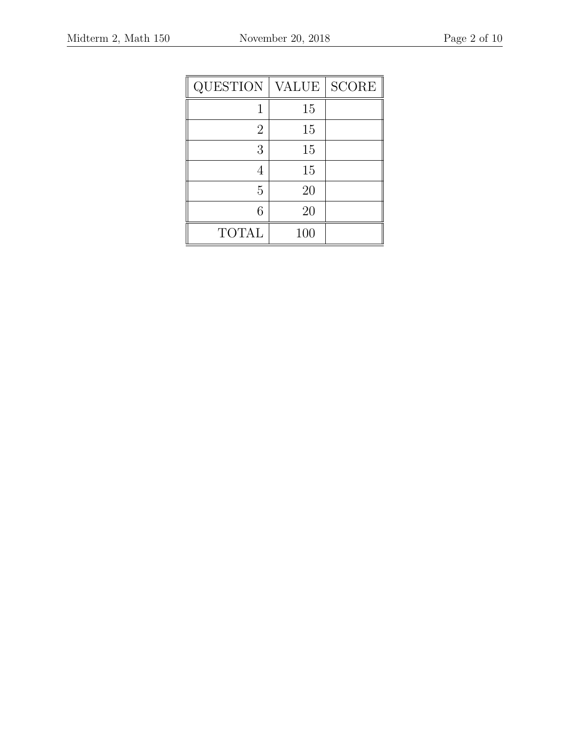| QUESTION     | <b>VALUE</b> | <b>SCORE</b> |
|--------------|--------------|--------------|
| 1            | 15           |              |
| 2            | 15           |              |
| 3            | 15           |              |
|              | 15           |              |
| 5            | 20           |              |
| 6            | 20           |              |
| <b>TOTAL</b> | 100          |              |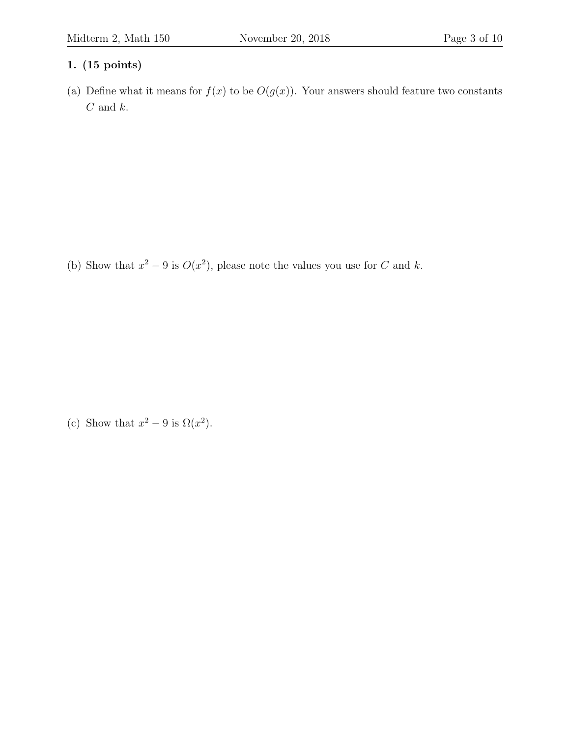(a) Define what it means for  $f(x)$  to be  $O(g(x))$ . Your answers should feature two constants  ${\cal C}$  and  $k.$ 

(b) Show that  $x^2 - 9$  is  $O(x^2)$ , please note the values you use for C and k.

(c) Show that  $x^2 - 9$  is  $\Omega(x^2)$ .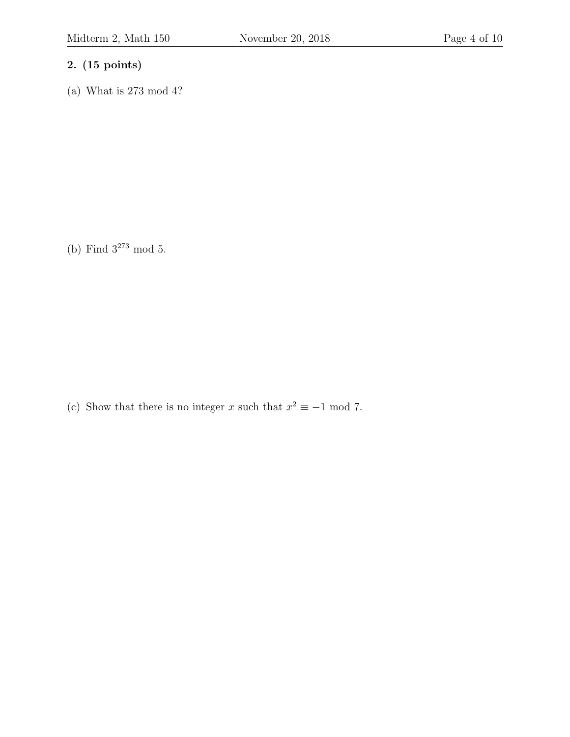(a) What is 273 mod 4?

(b) Find  $3^{273}$  mod 5.

(c) Show that there is no integer x such that  $x^2 \equiv -1 \mod 7$ .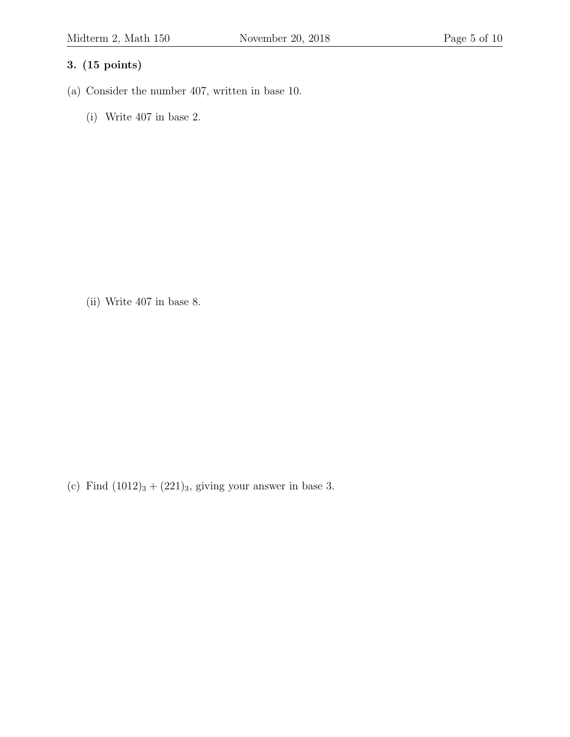- (a) Consider the number 407, written in base 10.
	- (i) Write 407 in base 2.

(ii) Write 407 in base 8.

(c) Find  $(1012)<sub>3</sub> + (221)<sub>3</sub>$ , giving your answer in base 3.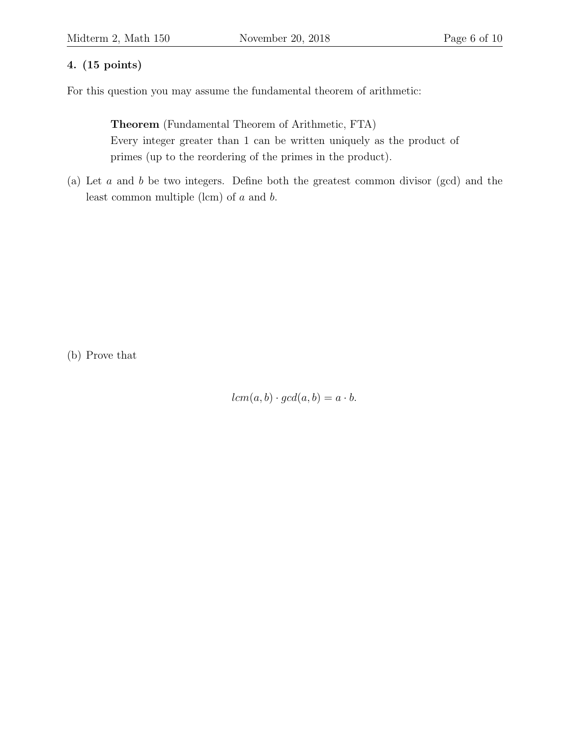For this question you may assume the fundamental theorem of arithmetic:

Theorem (Fundamental Theorem of Arithmetic, FTA) Every integer greater than 1 can be written uniquely as the product of primes (up to the reordering of the primes in the product).

(a) Let a and b be two integers. Define both the greatest common divisor (gcd) and the least common multiple (lcm) of a and b.

(b) Prove that

 $lcm(a, b) \cdot gcd(a, b) = a \cdot b.$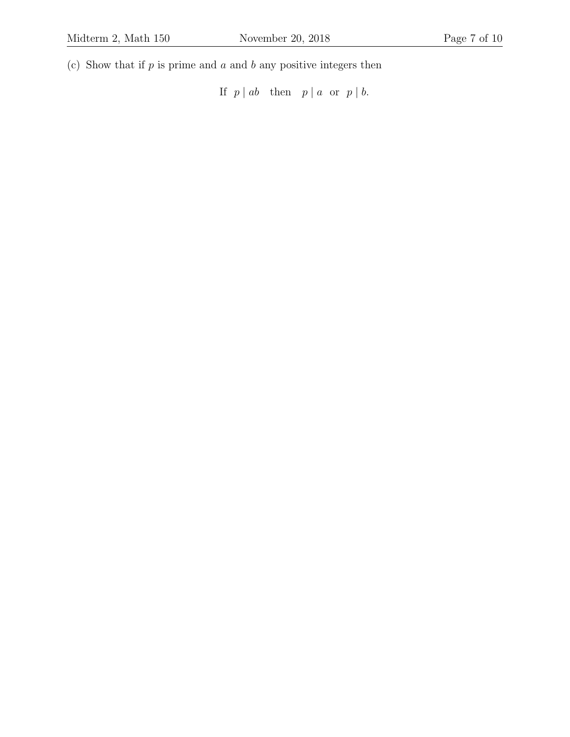(c) Show that if  $p$  is prime and  $a$  and  $b$  any positive integers then

If  $p \mid ab$  then  $p \mid a$  or  $p \mid b$ .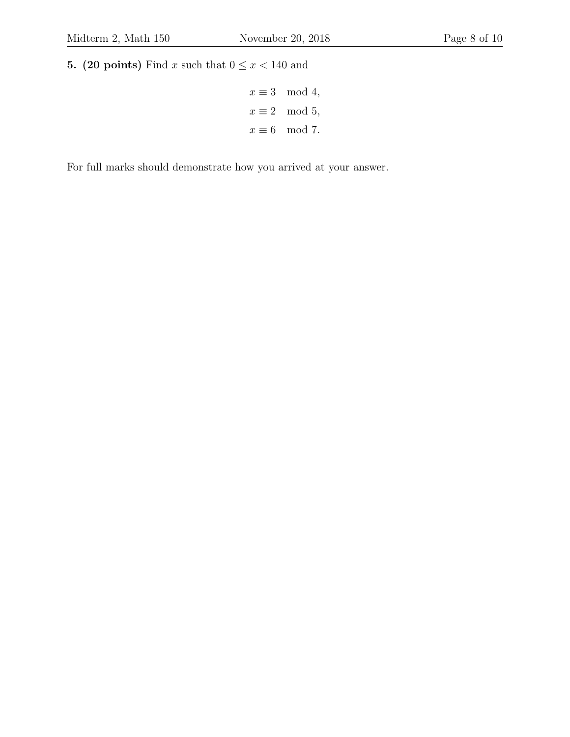5. (20 points) Find x such that  $0 \le x < 140$  and

$$
x \equiv 3 \mod 4,
$$
  

$$
x \equiv 2 \mod 5,
$$
  

$$
x \equiv 6 \mod 7.
$$

For full marks should demonstrate how you arrived at your answer.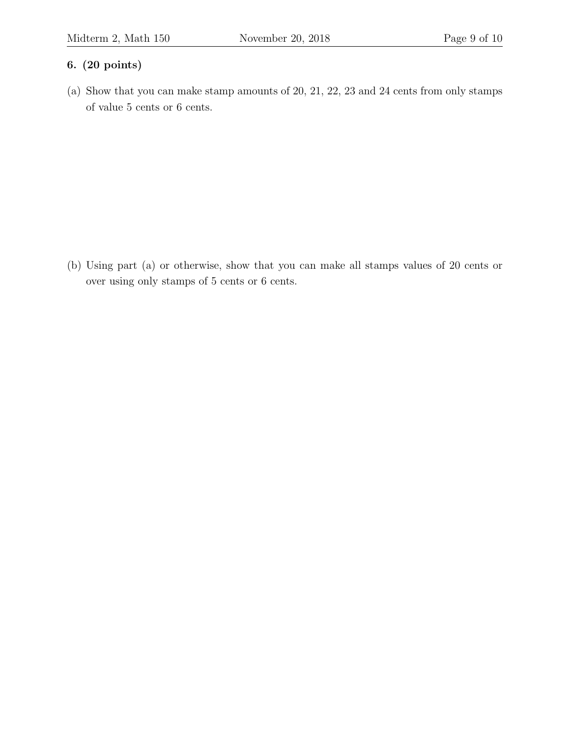## 6. (20 points)

(a) Show that you can make stamp amounts of 20, 21, 22, 23 and 24 cents from only stamps of value 5 cents or 6 cents.

(b) Using part (a) or otherwise, show that you can make all stamps values of 20 cents or over using only stamps of 5 cents or 6 cents.